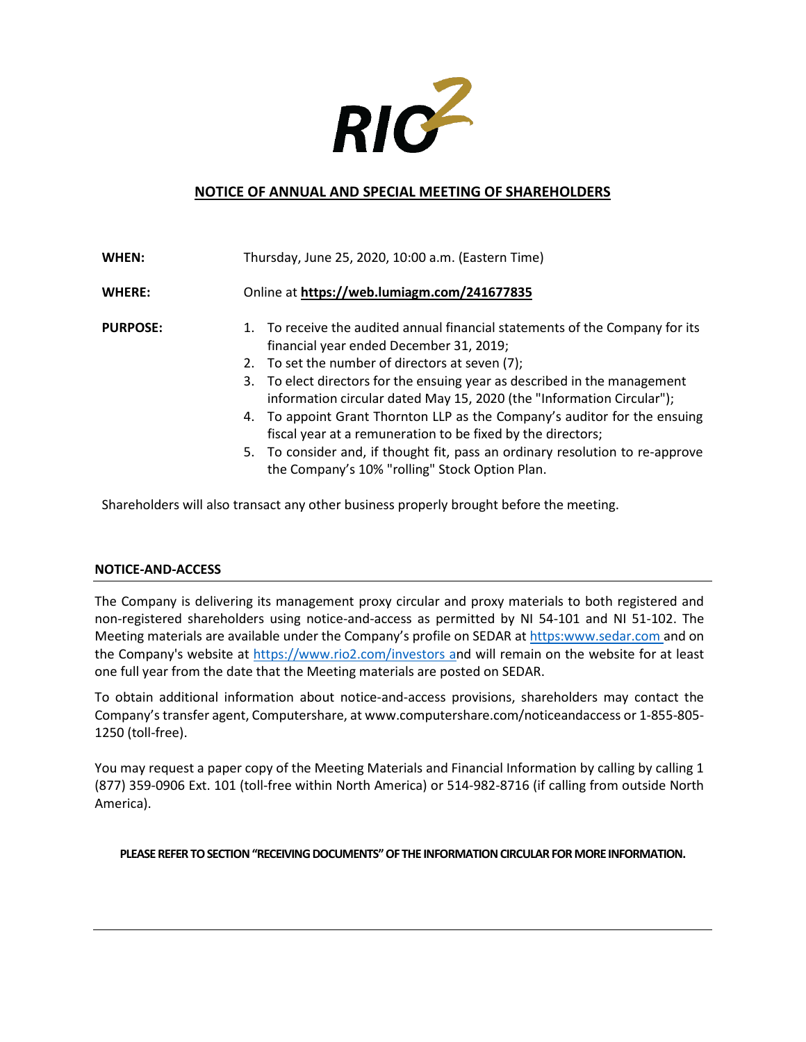

## **NOTICE OF ANNUAL AND SPECIAL MEETING OF SHAREHOLDERS**

| WHEN:           | Thursday, June 25, 2020, 10:00 a.m. (Eastern Time)                                                                                                                                                                                                                                                                                                                                                                                                                                                                                                                                                              |
|-----------------|-----------------------------------------------------------------------------------------------------------------------------------------------------------------------------------------------------------------------------------------------------------------------------------------------------------------------------------------------------------------------------------------------------------------------------------------------------------------------------------------------------------------------------------------------------------------------------------------------------------------|
| <b>WHERE:</b>   | Online at https://web.lumiagm.com/241677835                                                                                                                                                                                                                                                                                                                                                                                                                                                                                                                                                                     |
| <b>PURPOSE:</b> | 1. To receive the audited annual financial statements of the Company for its<br>financial year ended December 31, 2019;<br>2. To set the number of directors at seven (7);<br>3. To elect directors for the ensuing year as described in the management<br>information circular dated May 15, 2020 (the "Information Circular");<br>4. To appoint Grant Thornton LLP as the Company's auditor for the ensuing<br>fiscal year at a remuneration to be fixed by the directors;<br>5. To consider and, if thought fit, pass an ordinary resolution to re-approve<br>the Company's 10% "rolling" Stock Option Plan. |

Shareholders will also transact any other business properly brought before the meeting.

#### **NOTICE-AND-ACCESS**

The Company is delivering its management proxy circular and proxy materials to both registered and non-registered shareholders using notice-and-access as permitted by NI 54-101 and NI 51-102. The Meeting materials are available under the Company's profile on SEDAR at https:www.sedar.com and on the Company's website at https://www.rio2.com/investors and will remain on the website for at least one full year from the date that the Meeting materials are posted on SEDAR.

To obtain additional information about notice-and-access provisions, shareholders may contact the Company's transfer agent, Computershare, at www.computershare.com/noticeandaccess or 1-855-805- 1250 (toll-free).

You may request a paper copy of the Meeting Materials and Financial Information by calling by calling 1 (877) 359-0906 Ext. 101 (toll-free within North America) or 514-982-8716 (if calling from outside North America).

**PLEASE REFER TO SECTION "RECEIVING DOCUMENTS" OF THE INFORMATION CIRCULAR FOR MORE INFORMATION.**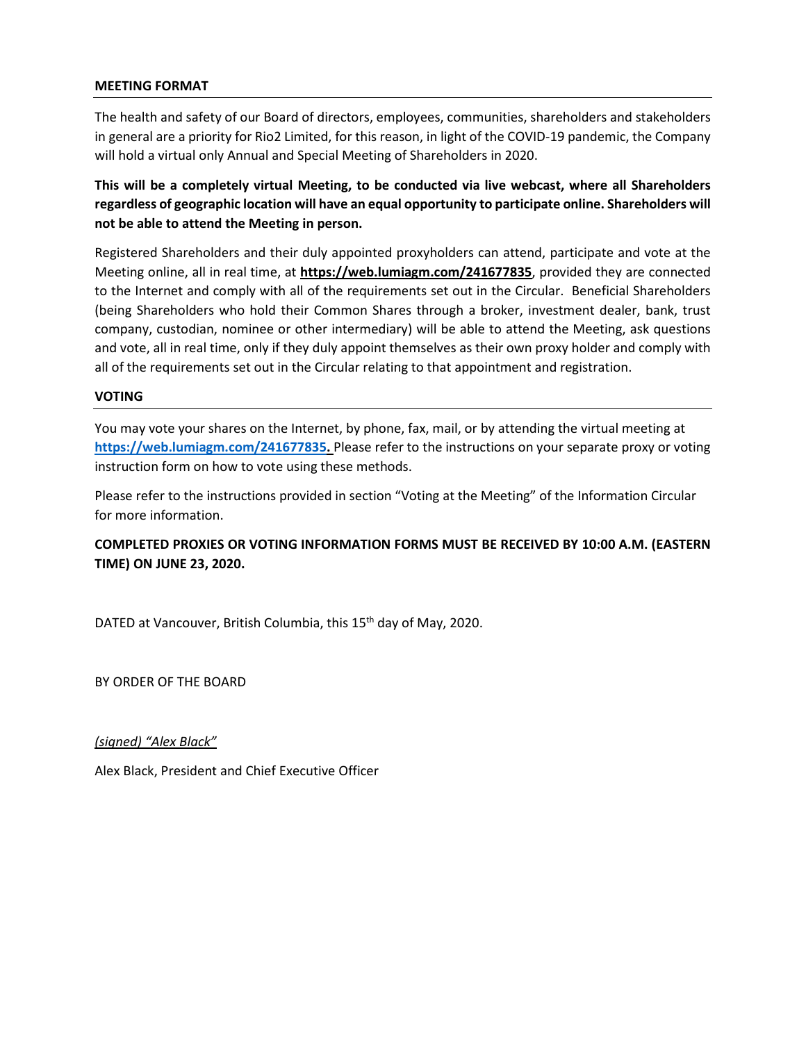### **MEETING FORMAT**

The health and safety of our Board of directors, employees, communities, shareholders and stakeholders in general are a priority for Rio2 Limited, for this reason, in light of the COVID-19 pandemic, the Company will hold a virtual only Annual and Special Meeting of Shareholders in 2020.

**This will be a completely virtual Meeting, to be conducted via live webcast, where all Shareholders regardless of geographic location will have an equal opportunity to participate online. Shareholders will not be able to attend the Meeting in person.**

Registered Shareholders and their duly appointed proxyholders can attend, participate and vote at the Meeting online, all in real time, at **https://web.lumiagm.com/241677835**, provided they are connected to the Internet and comply with all of the requirements set out in the Circular. Beneficial Shareholders (being Shareholders who hold their Common Shares through a broker, investment dealer, bank, trust company, custodian, nominee or other intermediary) will be able to attend the Meeting, ask questions and vote, all in real time, only if they duly appoint themselves as their own proxy holder and comply with all of the requirements set out in the Circular relating to that appointment and registration.

### **VOTING**

You may vote your shares on the Internet, by phone, fax, mail, or by attending the virtual meeting at **https://web.lumiagm.com/241677835.** Please refer to the instructions on your separate proxy or voting instruction form on how to vote using these methods.

Please refer to the instructions provided in section "Voting at the Meeting" of the Information Circular for more information.

## **COMPLETED PROXIES OR VOTING INFORMATION FORMS MUST BE RECEIVED BY 10:00 A.M. (EASTERN TIME) ON JUNE 23, 2020.**

DATED at Vancouver, British Columbia, this 15<sup>th</sup> day of May, 2020.

BY ORDER OF THE BOARD

*(signed) "Alex Black"* 

Alex Black, President and Chief Executive Officer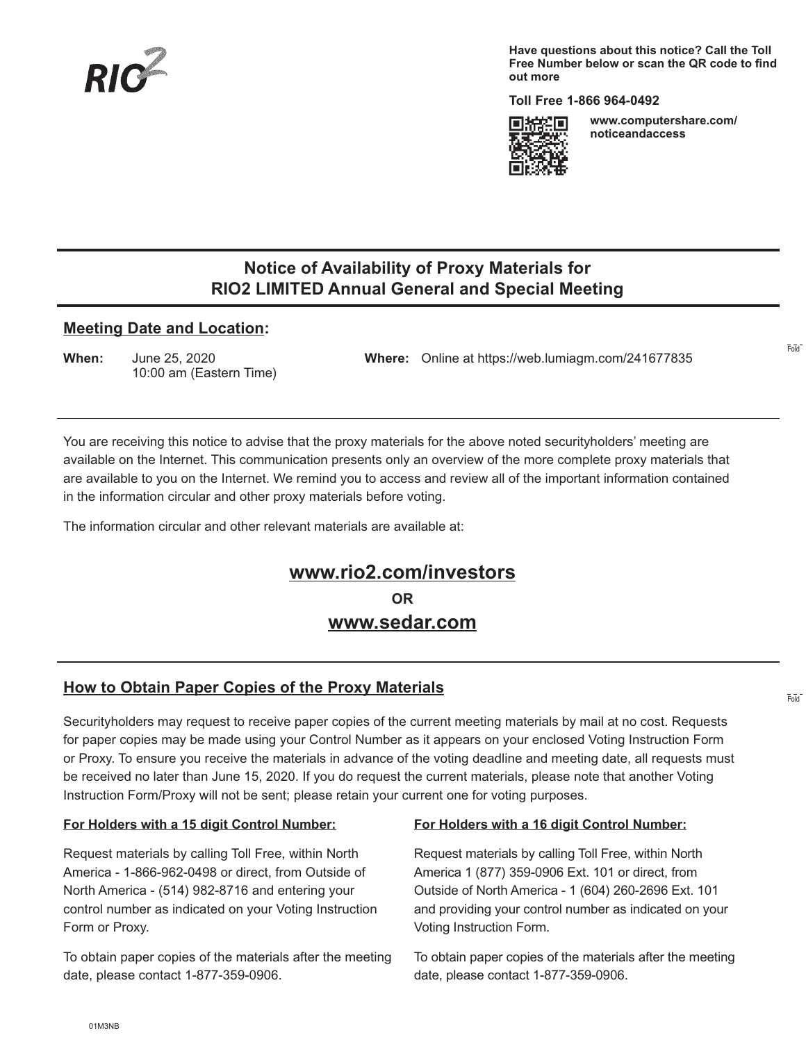

**Have questions about this notice? Call the Toll Free Number below or scan the QR code to find out more**

**Toll Free 1-866 964-0492** 



**www.computershare.com/ noticeandaccess** 

Fold

Fold

## **Notice of Availability of Proxy Materials for RIO2 LIMITED Annual General and Special Meeting**

### **Meeting Date and Location:**

10:00 am (Eastern Time)

**When:** June 25, 2020 **Where:** Online at https://web.lumiagm.com/241677835

You are receiving this notice to advise that the proxy materials for the above noted securityholders' meeting are available on the Internet. This communication presents only an overview of the more complete proxy materials that are available to you on the Internet. We remind you to access and review all of the important information contained in the information circular and other proxy materials before voting.

The information circular and other relevant materials are available at:

## **www.rio2.com/investors OR www.sedar.com**

## **How to Obtain Paper Copies of the Proxy Materials**

Securityholders may request to receive paper copies of the current meeting materials by mail at no cost. Requests for paper copies may be made using your Control Number as it appears on your enclosed Voting Instruction Form or Proxy. To ensure you receive the materials in advance of the voting deadline and meeting date, all requests must be received no later than June 15, 2020. If you do request the current materials, please note that another Voting Instruction Form/Proxy will not be sent; please retain your current one for voting purposes.

### **For Holders with a 15 digit Control Number:**

Request materials by calling Toll Free, within North America - 1-866-962-0498 or direct, from Outside of North America - (514) 982-8716 and entering your control number as indicated on your Voting Instruction Form or Proxy.

To obtain paper copies of the materials after the meeting date, please contact 1-877-359-0906.

#### **For Holders with a 16 digit Control Number:**

Request materials by calling Toll Free, within North America 1 (877) 359-0906 Ext. 101 or direct, from Outside of North America - 1 (604) 260-2696 Ext. 101 and providing your control number as indicated on your Voting Instruction Form.

To obtain paper copies of the materials after the meeting date, please contact 1-877-359-0906.